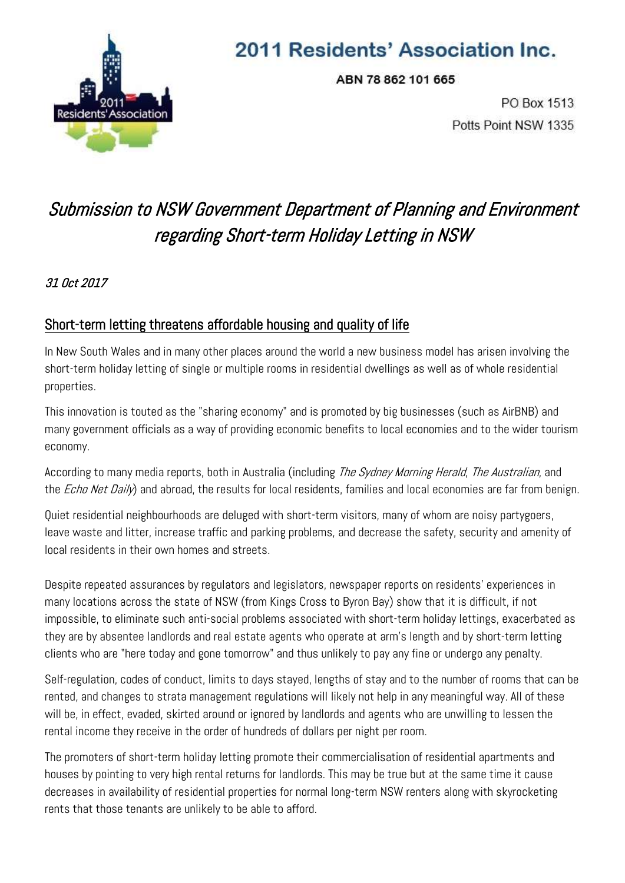

## 2011 Residents' Association Inc.

ABN 78 862 101 665

PO Box 1513 Potts Point NSW 1335

## Submission to NSW Government Department of Planning and Environment regarding Short-term Holiday Letting in NSW

## 31 Oct 2017

## Short-term letting threatens affordable housing and quality of life

In New South Wales and in many other places around the world a new business model has arisen involving the short-term holiday letting of single or multiple rooms in residential dwellings as well as of whole residential properties.

This innovation is touted as the "sharing economy" and is promoted by big businesses (such as AirBNB) and many government officials as a way of providing economic benefits to local economies and to the wider tourism economy.

According to many media reports, both in Australia (including The Sydney Morning Herald, The Australian, and the *Echo Net Daily*) and abroad, the results for local residents, families and local economies are far from benign.

Quiet residential neighbourhoods are deluged with short-term visitors, many of whom are noisy partygoers, leave waste and litter, increase traffic and parking problems, and decrease the safety, security and amenity of local residents in their own homes and streets.

Despite repeated assurances by regulators and legislators, newspaper reports on residents' experiences in many locations across the state of NSW (from Kings Cross to Byron Bay) show that it is difficult, if not impossible, to eliminate such anti-social problems associated with short-term holiday lettings, exacerbated as they are by absentee landlords and real estate agents who operate at arm's length and by short-term letting clients who are "here today and gone tomorrow" and thus unlikely to pay any fine or undergo any penalty.

Self-regulation, codes of conduct, limits to days stayed, lengths of stay and to the number of rooms that can be rented, and changes to strata management regulations will likely not help in any meaningful way. All of these will be, in effect, evaded, skirted around or ignored by landlords and agents who are unwilling to lessen the rental income they receive in the order of hundreds of dollars per night per room.

The promoters of short-term holiday letting promote their commercialisation of residential apartments and houses by pointing to very high rental returns for landlords. This may be true but at the same time it cause decreases in availability of residential properties for normal long-term NSW renters along with skyrocketing rents that those tenants are unlikely to be able to afford.